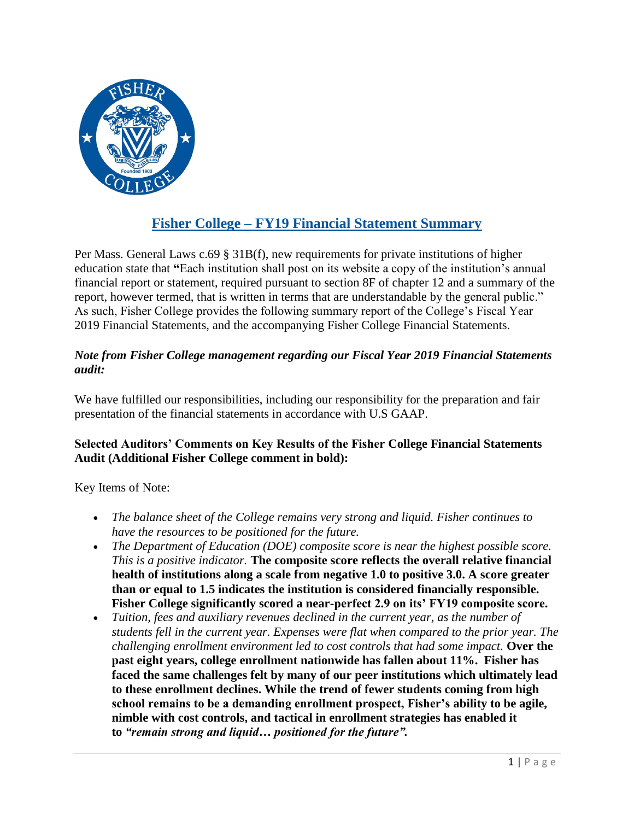

## **Fisher College – FY19 Financial Statement Summary**

Per Mass. General Laws c.69 § 31B(f), new requirements for private institutions of higher education state that **"**Each institution shall post on its website a copy of the institution's annual financial report or statement, required pursuant to section 8F of chapter 12 and a summary of the report, however termed, that is written in terms that are understandable by the general public." As such, Fisher College provides the following summary report of the College's Fiscal Year 2019 Financial Statements, and the accompanying Fisher College Financial Statements.

## *Note from Fisher College management regarding our Fiscal Year 2019 Financial Statements audit:*

We have fulfilled our responsibilities, including our responsibility for the preparation and fair presentation of the financial statements in accordance with U.S GAAP.

## **Selected Auditors' Comments on Key Results of the Fisher College Financial Statements Audit (Additional Fisher College comment in bold):**

Key Items of Note:

- *The balance sheet of the College remains very strong and liquid. Fisher continues to have the resources to be positioned for the future.*
- *The Department of Education (DOE) composite score is near the highest possible score. This is a positive indicator.* **The composite score reflects the overall relative financial health of institutions along a scale from negative 1.0 to positive 3.0. A score greater than or equal to 1.5 indicates the institution is considered financially responsible. Fisher College significantly scored a near-perfect 2.9 on its' FY19 composite score.**
- *Tuition, fees and auxiliary revenues declined in the current year, as the number of students fell in the current year. Expenses were flat when compared to the prior year. The challenging enrollment environment led to cost controls that had some impact.* **Over the past eight years, college enrollment nationwide has fallen about 11%. Fisher has faced the same challenges felt by many of our peer institutions which ultimately lead to these enrollment declines. While the trend of fewer students coming from high school remains to be a demanding enrollment prospect, Fisher's ability to be agile, nimble with cost controls, and tactical in enrollment strategies has enabled it to** *"remain strong and liquid… positioned for the future".*